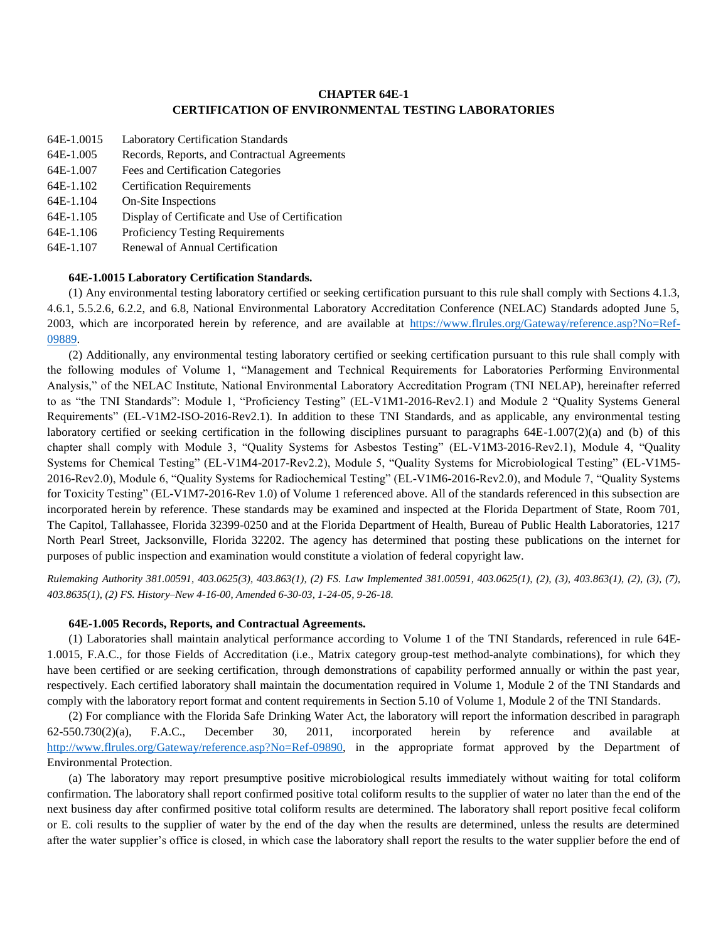### **CHAPTER 64E-1 CERTIFICATION OF ENVIRONMENTAL TESTING LABORATORIES**

- 64E-1.0015 Laboratory Certification Standards
- 64E-1.005 Records, Reports, and Contractual Agreements
- 64E-1.007 Fees and Certification Categories
- 64E-1.102 Certification Requirements
- 64E-1.104 On-Site Inspections
- 64E-1.105 Display of Certificate and Use of Certification
- 64E-1.106 Proficiency Testing Requirements
- 64E-1.107 Renewal of Annual Certification

# **64E-1.0015 Laboratory Certification Standards.**

(1) Any environmental testing laboratory certified or seeking certification pursuant to this rule shall comply with Sections 4.1.3, 4.6.1, 5.5.2.6, 6.2.2, and 6.8, National Environmental Laboratory Accreditation Conference (NELAC) Standards adopted June 5, 2003, which are incorporated herein by reference, and are available at [https://www.flrules.org/Gateway/reference.asp?No=Ref-](https://www.flrules.org/Gateway/reference.asp?No=Ref-09889)[09889.](https://www.flrules.org/Gateway/reference.asp?No=Ref-09889)

(2) Additionally, any environmental testing laboratory certified or seeking certification pursuant to this rule shall comply with the following modules of Volume 1, "Management and Technical Requirements for Laboratories Performing Environmental Analysis," of the NELAC Institute, National Environmental Laboratory Accreditation Program (TNI NELAP), hereinafter referred to as "the TNI Standards": Module 1, "Proficiency Testing" (EL-V1M1-2016-Rev2.1) and Module 2 "Quality Systems General Requirements" (EL-V1M2-ISO-2016-Rev2.1). In addition to these TNI Standards, and as applicable, any environmental testing laboratory certified or seeking certification in the following disciplines pursuant to paragraphs 64E-1.007(2)(a) and (b) of this chapter shall comply with Module 3, "Quality Systems for Asbestos Testing" (EL-V1M3-2016-Rev2.1), Module 4, "Quality Systems for Chemical Testing" (EL-V1M4-2017-Rev2.2), Module 5, "Quality Systems for Microbiological Testing" (EL-V1M5- 2016-Rev2.0), Module 6, "Quality Systems for Radiochemical Testing" (EL-V1M6-2016-Rev2.0), and Module 7, "Quality Systems for Toxicity Testing" (EL-V1M7-2016-Rev 1.0) of Volume 1 referenced above. All of the standards referenced in this subsection are incorporated herein by reference. These standards may be examined and inspected at the Florida Department of State, Room 701, The Capitol, Tallahassee, Florida 32399-0250 and at the Florida Department of Health, Bureau of Public Health Laboratories, 1217 North Pearl Street, Jacksonville, Florida 32202. The agency has determined that posting these publications on the internet for purposes of public inspection and examination would constitute a violation of federal copyright law.

*Rulemaking Authority 381.00591, 403.0625(3), 403.863(1), (2) FS. Law Implemented 381.00591, 403.0625(1), (2), (3), 403.863(1), (2), (3), (7), 403.8635(1), (2) FS. History–New 4-16-00, Amended 6-30-03, 1-24-05, 9-26-18.*

## **64E-1.005 Records, Reports, and Contractual Agreements.**

(1) Laboratories shall maintain analytical performance according to Volume 1 of the TNI Standards, referenced in rule 64E-1.0015, F.A.C., for those Fields of Accreditation (i.e., Matrix category group-test method-analyte combinations), for which they have been certified or are seeking certification, through demonstrations of capability performed annually or within the past year, respectively. Each certified laboratory shall maintain the documentation required in Volume 1, Module 2 of the TNI Standards and comply with the laboratory report format and content requirements in Section 5.10 of Volume 1, Module 2 of the TNI Standards.

(2) For compliance with the Florida Safe Drinking Water Act, the laboratory will report the information described in paragraph 62-550.730(2)(a), F.A.C., December 30, 2011, incorporated herein by reference and available at [http://www.flrules.org/Gateway/reference.asp?No=Ref-09890,](http://www.flrules.org/Gateway/reference.asp?No=Ref-09890) in the appropriate format approved by the Department of Environmental Protection.

(a) The laboratory may report presumptive positive microbiological results immediately without waiting for total coliform confirmation. The laboratory shall report confirmed positive total coliform results to the supplier of water no later than the end of the next business day after confirmed positive total coliform results are determined. The laboratory shall report positive fecal coliform or E. coli results to the supplier of water by the end of the day when the results are determined, unless the results are determined after the water supplier's office is closed, in which case the laboratory shall report the results to the water supplier before the end of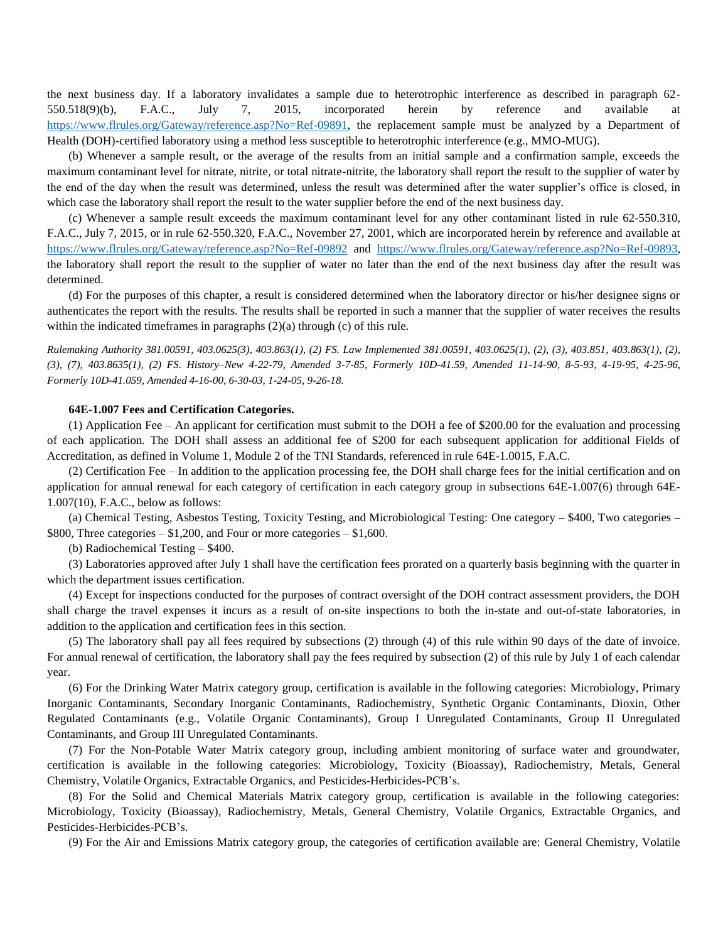the next business day. If a laboratory invalidates a sample due to heterotrophic interference as described in paragraph 62- 550.518(9)(b), F.A.C., July 7, 2015, incorporated herein by reference and available at [https://www.flrules.org/Gateway/reference.asp?No=Ref-09891,](https://www.flrules.org/Gateway/reference.asp?No=Ref-09891) the replacement sample must be analyzed by a Department of Health (DOH)-certified laboratory using a method less susceptible to heterotrophic interference (e.g., MMO-MUG).

(b) Whenever a sample result, or the average of the results from an initial sample and a confirmation sample, exceeds the maximum contaminant level for nitrate, nitrite, or total nitrate-nitrite, the laboratory shall report the result to the supplier of water by the end of the day when the result was determined, unless the result was determined after the water supplier's office is closed, in which case the laboratory shall report the result to the water supplier before the end of the next business day.

(c) Whenever a sample result exceeds the maximum contaminant level for any other contaminant listed in rule 62-550.310, F.A.C., July 7, 2015, or in rule 62-550.320, F.A.C., November 27, 2001, which are incorporated herein by reference and available at <https://www.flrules.org/Gateway/reference.asp?No=Ref-09892> and [https://www.flrules.org/Gateway/reference.asp?No=Ref-09893,](https://www.flrules.org/Gateway/reference.asp?No=Ref-09893) the laboratory shall report the result to the supplier of water no later than the end of the next business day after the result was determined.

(d) For the purposes of this chapter, a result is considered determined when the laboratory director or his/her designee signs or authenticates the report with the results. The results shall be reported in such a manner that the supplier of water receives the results within the indicated timeframes in paragraphs (2)(a) through (c) of this rule.

*Rulemaking Authority 381.00591, 403.0625(3), 403.863(1), (2) FS. Law Implemented 381.00591, 403.0625(1), (2), (3), 403.851, 403.863(1), (2), (3), (7), 403.8635(1), (2) FS. History–New 4-22-79, Amended 3-7-85, Formerly 10D-41.59, Amended 11-14-90, 8-5-93, 4-19-95, 4-25-96, Formerly 10D-41.059, Amended 4-16-00, 6-30-03, 1-24-05, 9-26-18.*

#### **64E-1.007 Fees and Certification Categories.**

(1) Application Fee – An applicant for certification must submit to the DOH a fee of \$200.00 for the evaluation and processing of each application. The DOH shall assess an additional fee of \$200 for each subsequent application for additional Fields of Accreditation, as defined in Volume 1, Module 2 of the TNI Standards, referenced in rule 64E-1.0015, F.A.C.

(2) Certification Fee – In addition to the application processing fee, the DOH shall charge fees for the initial certification and on application for annual renewal for each category of certification in each category group in subsections 64E-1.007(6) through 64E-1.007(10), F.A.C., below as follows:

(a) Chemical Testing, Asbestos Testing, Toxicity Testing, and Microbiological Testing: One category – \$400, Two categories –  $$800$ , Three categories – \$1,200, and Four or more categories – \$1,600.

(b) Radiochemical Testing – \$400.

(3) Laboratories approved after July 1 shall have the certification fees prorated on a quarterly basis beginning with the quarter in which the department issues certification.

(4) Except for inspections conducted for the purposes of contract oversight of the DOH contract assessment providers, the DOH shall charge the travel expenses it incurs as a result of on-site inspections to both the in-state and out-of-state laboratories, in addition to the application and certification fees in this section.

(5) The laboratory shall pay all fees required by subsections (2) through (4) of this rule within 90 days of the date of invoice. For annual renewal of certification, the laboratory shall pay the fees required by subsection (2) of this rule by July 1 of each calendar year.

(6) For the Drinking Water Matrix category group, certification is available in the following categories: Microbiology, Primary Inorganic Contaminants, Secondary Inorganic Contaminants, Radiochemistry, Synthetic Organic Contaminants, Dioxin, Other Regulated Contaminants (e.g., Volatile Organic Contaminants), Group I Unregulated Contaminants, Group II Unregulated Contaminants, and Group III Unregulated Contaminants.

(7) For the Non-Potable Water Matrix category group, including ambient monitoring of surface water and groundwater, certification is available in the following categories: Microbiology, Toxicity (Bioassay), Radiochemistry, Metals, General Chemistry, Volatile Organics, Extractable Organics, and Pesticides-Herbicides-PCB's.

(8) For the Solid and Chemical Materials Matrix category group, certification is available in the following categories: Microbiology, Toxicity (Bioassay), Radiochemistry, Metals, General Chemistry, Volatile Organics, Extractable Organics, and Pesticides-Herbicides-PCB's.

(9) For the Air and Emissions Matrix category group, the categories of certification available are: General Chemistry, Volatile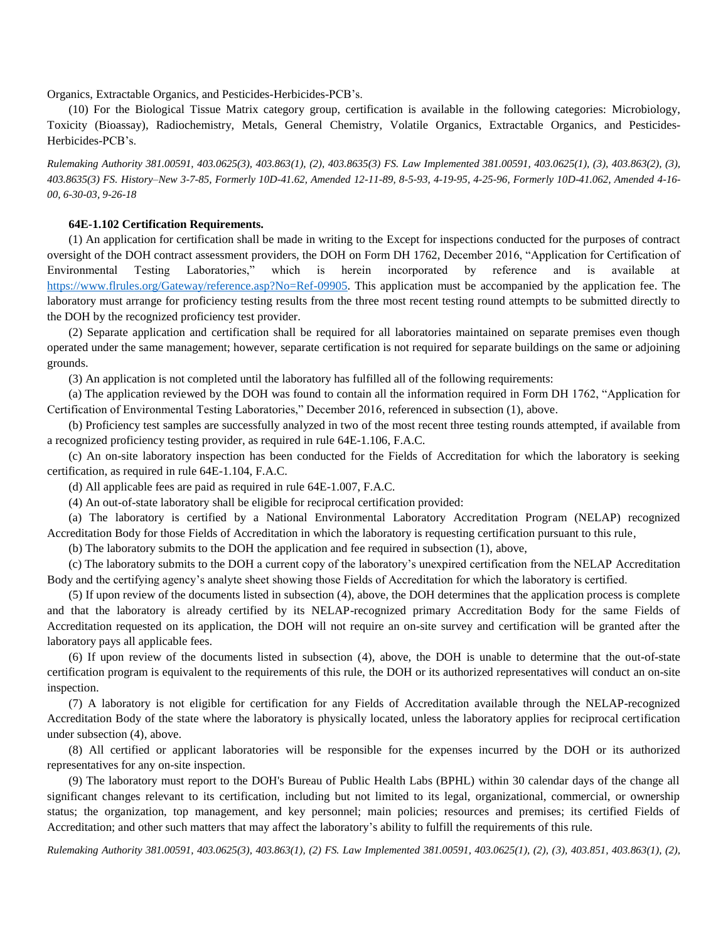Organics, Extractable Organics, and Pesticides-Herbicides-PCB's.

(10) For the Biological Tissue Matrix category group, certification is available in the following categories: Microbiology, Toxicity (Bioassay), Radiochemistry, Metals, General Chemistry, Volatile Organics, Extractable Organics, and Pesticides-Herbicides-PCB's.

*Rulemaking Authority 381.00591, 403.0625(3), 403.863(1), (2), 403.8635(3) FS. Law Implemented 381.00591, 403.0625(1), (3), 403.863(2), (3), 403.8635(3) FS. History–New 3-7-85, Formerly 10D-41.62, Amended 12-11-89, 8-5-93, 4-19-95, 4-25-96, Formerly 10D-41.062, Amended 4-16- 00, 6-30-03, 9-26-18*

#### **64E-1.102 Certification Requirements.**

(1) An application for certification shall be made in writing to the Except for inspections conducted for the purposes of contract oversight of the DOH contract assessment providers, the DOH on Form DH 1762, December 2016, "Application for Certification of Environmental Testing Laboratories," which is herein incorporated by reference and is available [https://www.flrules.org/Gateway/reference.asp?No=Ref-09905.](https://www.flrules.org/Gateway/reference.asp?No=Ref-09905) This application must be accompanied by the application fee. The laboratory must arrange for proficiency testing results from the three most recent testing round attempts to be submitted directly to the DOH by the recognized proficiency test provider.

(2) Separate application and certification shall be required for all laboratories maintained on separate premises even though operated under the same management; however, separate certification is not required for separate buildings on the same or adjoining grounds.

(3) An application is not completed until the laboratory has fulfilled all of the following requirements:

(a) The application reviewed by the DOH was found to contain all the information required in Form DH 1762, "Application for Certification of Environmental Testing Laboratories," December 2016, referenced in subsection (1), above.

(b) Proficiency test samples are successfully analyzed in two of the most recent three testing rounds attempted, if available from a recognized proficiency testing provider, as required in rule 64E-1.106, F.A.C.

(c) An on-site laboratory inspection has been conducted for the Fields of Accreditation for which the laboratory is seeking certification, as required in rule 64E-1.104, F.A.C.

(d) All applicable fees are paid as required in rule 64E-1.007, F.A.C.

(4) An out-of-state laboratory shall be eligible for reciprocal certification provided:

(a) The laboratory is certified by a National Environmental Laboratory Accreditation Program (NELAP) recognized Accreditation Body for those Fields of Accreditation in which the laboratory is requesting certification pursuant to this rule,

(b) The laboratory submits to the DOH the application and fee required in subsection (1), above,

(c) The laboratory submits to the DOH a current copy of the laboratory's unexpired certification from the NELAP Accreditation Body and the certifying agency's analyte sheet showing those Fields of Accreditation for which the laboratory is certified.

(5) If upon review of the documents listed in subsection (4), above, the DOH determines that the application process is complete and that the laboratory is already certified by its NELAP-recognized primary Accreditation Body for the same Fields of Accreditation requested on its application, the DOH will not require an on-site survey and certification will be granted after the laboratory pays all applicable fees.

(6) If upon review of the documents listed in subsection (4), above, the DOH is unable to determine that the out-of-state certification program is equivalent to the requirements of this rule, the DOH or its authorized representatives will conduct an on-site inspection.

(7) A laboratory is not eligible for certification for any Fields of Accreditation available through the NELAP-recognized Accreditation Body of the state where the laboratory is physically located, unless the laboratory applies for reciprocal certification under subsection (4), above.

(8) All certified or applicant laboratories will be responsible for the expenses incurred by the DOH or its authorized representatives for any on-site inspection.

(9) The laboratory must report to the DOH's Bureau of Public Health Labs (BPHL) within 30 calendar days of the change all significant changes relevant to its certification, including but not limited to its legal, organizational, commercial, or ownership status; the organization, top management, and key personnel; main policies; resources and premises; its certified Fields of Accreditation; and other such matters that may affect the laboratory's ability to fulfill the requirements of this rule.

*Rulemaking Authority 381.00591, 403.0625(3), 403.863(1), (2) FS. Law Implemented 381.00591, 403.0625(1), (2), (3), 403.851, 403.863(1), (2),*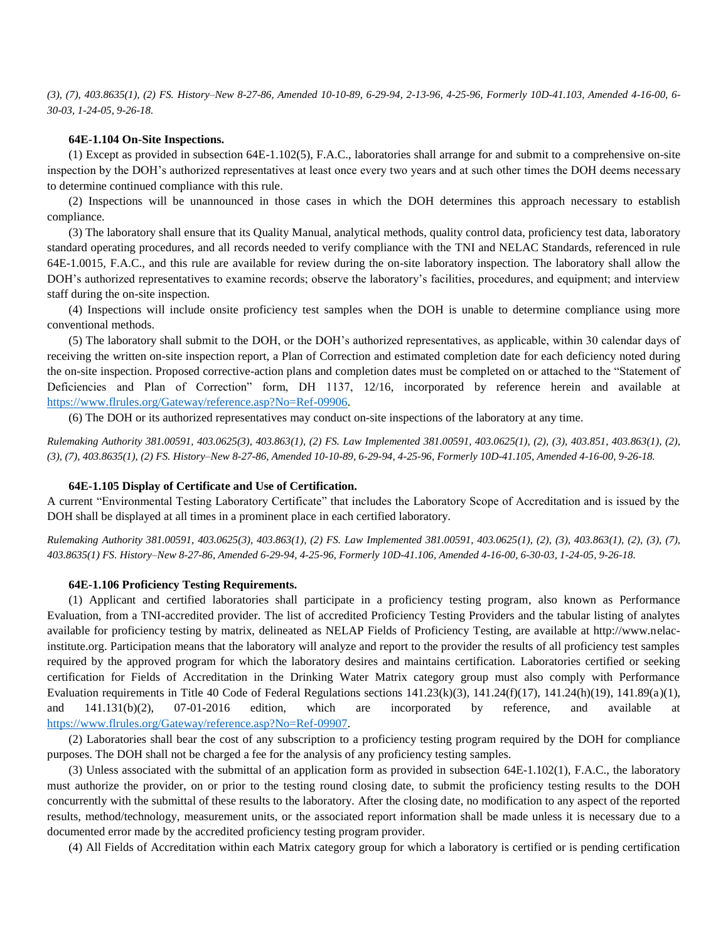*(3), (7), 403.8635(1), (2) FS. History–New 8-27-86, Amended 10-10-89, 6-29-94, 2-13-96, 4-25-96, Formerly 10D-41.103, Amended 4-16-00, 6- 30-03, 1-24-05, 9-26-18.*

### **64E-1.104 On-Site Inspections.**

(1) Except as provided in subsection 64E-1.102(5), F.A.C., laboratories shall arrange for and submit to a comprehensive on-site inspection by the DOH's authorized representatives at least once every two years and at such other times the DOH deems necessary to determine continued compliance with this rule.

(2) Inspections will be unannounced in those cases in which the DOH determines this approach necessary to establish compliance.

(3) The laboratory shall ensure that its Quality Manual, analytical methods, quality control data, proficiency test data, laboratory standard operating procedures, and all records needed to verify compliance with the TNI and NELAC Standards, referenced in rule 64E-1.0015, F.A.C., and this rule are available for review during the on-site laboratory inspection. The laboratory shall allow the DOH's authorized representatives to examine records; observe the laboratory's facilities, procedures, and equipment; and interview staff during the on-site inspection.

(4) Inspections will include onsite proficiency test samples when the DOH is unable to determine compliance using more conventional methods.

(5) The laboratory shall submit to the DOH, or the DOH's authorized representatives, as applicable, within 30 calendar days of receiving the written on-site inspection report, a Plan of Correction and estimated completion date for each deficiency noted during the on-site inspection. Proposed corrective-action plans and completion dates must be completed on or attached to the "Statement of Deficiencies and Plan of Correction" form, DH 1137, 12/16, incorporated by reference herein and available at [https://www.flrules.org/Gateway/reference.asp?No=Ref-09906.](https://www.flrules.org/Gateway/reference.asp?No=Ref-09906)

(6) The DOH or its authorized representatives may conduct on-site inspections of the laboratory at any time.

*Rulemaking Authority 381.00591, 403.0625(3), 403.863(1), (2) FS. Law Implemented 381.00591, 403.0625(1), (2), (3), 403.851, 403.863(1), (2), (3), (7), 403.8635(1), (2) FS. History–New 8-27-86, Amended 10-10-89, 6-29-94, 4-25-96, Formerly 10D-41.105, Amended 4-16-00, 9-26-18.*

#### **64E-1.105 Display of Certificate and Use of Certification.**

A current "Environmental Testing Laboratory Certificate" that includes the Laboratory Scope of Accreditation and is issued by the DOH shall be displayed at all times in a prominent place in each certified laboratory.

*Rulemaking Authority 381.00591, 403.0625(3), 403.863(1), (2) FS. Law Implemented 381.00591, 403.0625(1), (2), (3), 403.863(1), (2), (3), (7), 403.8635(1) FS. History–New 8-27-86, Amended 6-29-94, 4-25-96, Formerly 10D-41.106, Amended 4-16-00, 6-30-03, 1-24-05, 9-26-18.*

#### **64E-1.106 Proficiency Testing Requirements.**

(1) Applicant and certified laboratories shall participate in a proficiency testing program, also known as Performance Evaluation, from a TNI-accredited provider. The list of accredited Proficiency Testing Providers and the tabular listing of analytes available for proficiency testing by matrix, delineated as NELAP Fields of Proficiency Testing, are available at http://www.nelacinstitute.org. Participation means that the laboratory will analyze and report to the provider the results of all proficiency test samples required by the approved program for which the laboratory desires and maintains certification. Laboratories certified or seeking certification for Fields of Accreditation in the Drinking Water Matrix category group must also comply with Performance Evaluation requirements in Title 40 Code of Federal Regulations sections  $141.23(k)(3)$ ,  $141.24(f)(17)$ ,  $141.24(h)(19)$ ,  $141.89(a)(1)$ , and 141.131(b)(2), 07-01-2016 edition, which are incorporated by reference, and available at [https://www.flrules.org/Gateway/reference.asp?No=Ref-09907.](https://www.flrules.org/Gateway/reference.asp?No=Ref-09907)

(2) Laboratories shall bear the cost of any subscription to a proficiency testing program required by the DOH for compliance purposes. The DOH shall not be charged a fee for the analysis of any proficiency testing samples.

(3) Unless associated with the submittal of an application form as provided in subsection 64E-1.102(1), F.A.C., the laboratory must authorize the provider, on or prior to the testing round closing date, to submit the proficiency testing results to the DOH concurrently with the submittal of these results to the laboratory. After the closing date, no modification to any aspect of the reported results, method/technology, measurement units, or the associated report information shall be made unless it is necessary due to a documented error made by the accredited proficiency testing program provider.

(4) All Fields of Accreditation within each Matrix category group for which a laboratory is certified or is pending certification